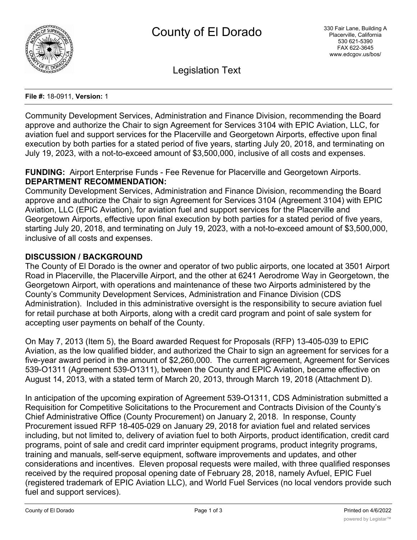

Legislation Text

#### **File #:** 18-0911, **Version:** 1

Community Development Services, Administration and Finance Division, recommending the Board approve and authorize the Chair to sign Agreement for Services 3104 with EPIC Aviation, LLC, for aviation fuel and support services for the Placerville and Georgetown Airports, effective upon final execution by both parties for a stated period of five years, starting July 20, 2018, and terminating on July 19, 2023, with a not-to-exceed amount of \$3,500,000, inclusive of all costs and expenses.

#### **FUNDING:** Airport Enterprise Funds - Fee Revenue for Placerville and Georgetown Airports. **DEPARTMENT RECOMMENDATION:**

Community Development Services, Administration and Finance Division, recommending the Board approve and authorize the Chair to sign Agreement for Services 3104 (Agreement 3104) with EPIC Aviation, LLC (EPIC Aviation), for aviation fuel and support services for the Placerville and Georgetown Airports, effective upon final execution by both parties for a stated period of five years, starting July 20, 2018, and terminating on July 19, 2023, with a not-to-exceed amount of \$3,500,000, inclusive of all costs and expenses.

## **DISCUSSION / BACKGROUND**

The County of El Dorado is the owner and operator of two public airports, one located at 3501 Airport Road in Placerville, the Placerville Airport, and the other at 6241 Aerodrome Way in Georgetown, the Georgetown Airport, with operations and maintenance of these two Airports administered by the County's Community Development Services, Administration and Finance Division (CDS Administration). Included in this administrative oversight is the responsibility to secure aviation fuel for retail purchase at both Airports, along with a credit card program and point of sale system for accepting user payments on behalf of the County.

On May 7, 2013 (Item 5), the Board awarded Request for Proposals (RFP) 13-405-039 to EPIC Aviation, as the low qualified bidder, and authorized the Chair to sign an agreement for services for a five-year award period in the amount of \$2,260,000. The current agreement, Agreement for Services 539-O1311 (Agreement 539-O1311), between the County and EPIC Aviation, became effective on August 14, 2013, with a stated term of March 20, 2013, through March 19, 2018 (Attachment D).

In anticipation of the upcoming expiration of Agreement 539-O1311, CDS Administration submitted a Requisition for Competitive Solicitations to the Procurement and Contracts Division of the County's Chief Administrative Office (County Procurement) on January 2, 2018. In response, County Procurement issued RFP 18-405-029 on January 29, 2018 for aviation fuel and related services including, but not limited to, delivery of aviation fuel to both Airports, product identification, credit card programs, point of sale and credit card imprinter equipment programs, product integrity programs, training and manuals, self-serve equipment, software improvements and updates, and other considerations and incentives. Eleven proposal requests were mailed, with three qualified responses received by the required proposal opening date of February 28, 2018, namely Avfuel, EPIC Fuel (registered trademark of EPIC Aviation LLC), and World Fuel Services (no local vendors provide such fuel and support services).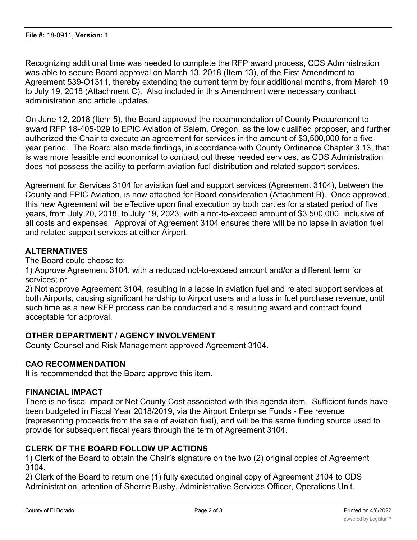Recognizing additional time was needed to complete the RFP award process, CDS Administration was able to secure Board approval on March 13, 2018 (Item 13), of the First Amendment to Agreement 539-O1311, thereby extending the current term by four additional months, from March 19 to July 19, 2018 (Attachment C). Also included in this Amendment were necessary contract administration and article updates.

On June 12, 2018 (Item 5), the Board approved the recommendation of County Procurement to award RFP 18-405-029 to EPIC Aviation of Salem, Oregon, as the low qualified proposer, and further authorized the Chair to execute an agreement for services in the amount of \$3,500,000 for a fiveyear period. The Board also made findings, in accordance with County Ordinance Chapter 3.13, that is was more feasible and economical to contract out these needed services, as CDS Administration does not possess the ability to perform aviation fuel distribution and related support services.

Agreement for Services 3104 for aviation fuel and support services (Agreement 3104), between the County and EPIC Aviation, is now attached for Board consideration (Attachment B). Once approved, this new Agreement will be effective upon final execution by both parties for a stated period of five years, from July 20, 2018, to July 19, 2023, with a not-to-exceed amount of \$3,500,000, inclusive of all costs and expenses. Approval of Agreement 3104 ensures there will be no lapse in aviation fuel and related support services at either Airport.

# **ALTERNATIVES**

The Board could choose to:

1) Approve Agreement 3104, with a reduced not-to-exceed amount and/or a different term for services; or

2) Not approve Agreement 3104, resulting in a lapse in aviation fuel and related support services at both Airports, causing significant hardship to Airport users and a loss in fuel purchase revenue, until such time as a new RFP process can be conducted and a resulting award and contract found acceptable for approval.

## **OTHER DEPARTMENT / AGENCY INVOLVEMENT**

County Counsel and Risk Management approved Agreement 3104.

## **CAO RECOMMENDATION**

It is recommended that the Board approve this item.

#### **FINANCIAL IMPACT**

There is no fiscal impact or Net County Cost associated with this agenda item. Sufficient funds have been budgeted in Fiscal Year 2018/2019, via the Airport Enterprise Funds - Fee revenue (representing proceeds from the sale of aviation fuel), and will be the same funding source used to provide for subsequent fiscal years through the term of Agreement 3104.

## **CLERK OF THE BOARD FOLLOW UP ACTIONS**

1) Clerk of the Board to obtain the Chair's signature on the two (2) original copies of Agreement 3104.

2) Clerk of the Board to return one (1) fully executed original copy of Agreement 3104 to CDS Administration, attention of Sherrie Busby, Administrative Services Officer, Operations Unit.